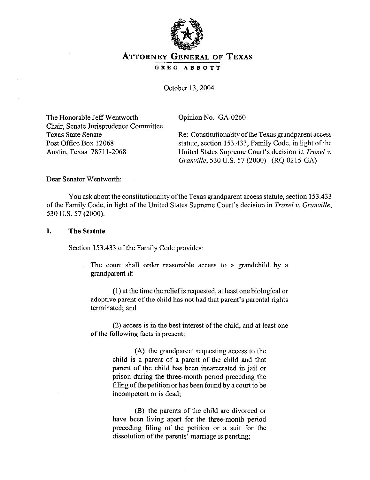

# **ATTORNEY GENERAL OF TEXAS**

**GREG ABBOTT** 

October 13,2004

The Honorable Jeff Wentworth Chair, Senate Jurisprudence Committee Texas State Senate Post Office Box 12068 Austin, Texas 78711-2068

Opinion No. GA-0260

Re: Constitutionalityofthe Texas grandparent access statute, section 153.433, Family Code, in light of the United States Supreme Court's decision in *Troxel v. Grunville,* 530 U.S. 57 (2000) (RQ-0215-GA)

Dear Senator Wentworth:

You ask about the constitutionality of the Texas grandparent access statute, section 153.433 of the Family Code, in light of the United States Supreme Court's decision in *Trawl v. Granville, 530 U.S. 57 (2000).* 

#### *I.* **The Statute**

Section 153.433 of the Family Code provides:

The court shall order reasonable access to a grandchild by a grandparent if:

(1) at the time the relief is requested, at least one biological or adoptive parent of the child has not had that parent's parental rights terminated; and

(2) access is in the best interest of the child, and at least one of the following facts is present:

> (A) the grandparent requesting access to the child is a parent of a parent of the child and that parent of the child haa been incarcerated in jail or prison during the three-month period preceding the tiling of the petition or has been found by a court to be incompetent or is dead,

> (B) the parents of the child are divorced or have been living apart for the three-month period preceding tiling of the petition or a suit for the dissolution of the parents' marriage is pending;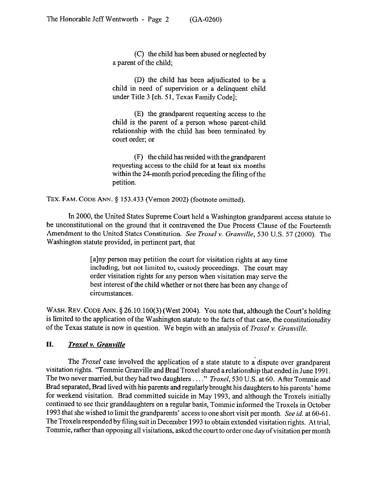(C) the child has been abused or neglected by a parent of the child;

(D) the child has been adjudicated to be a child in need of supervision or a delinquent child under Title 3 [ch. 51, Texas Family Code];

(E) the grandparent requesting access to the child is the parent of a person whose parent-child relationship with the child has been terminated by court order; or

(F) the child has resided with the grandparent requesting access to the child for at least six months within the  $24$ -month period preceding the filing of the petition.

**TEX. FAM. CODE ANN.** 5 153.433 (Vernon 2002) (footnote omitted).

In 2000, the United States Supreme Court held a Washington grandparent access statute to be unconstitutional on the ground that it contravened the Due Process Clause of the Fourteenth Amendment to the United States Constitution. *See Troxel v. Granville, 530* U.S. 57 (2000). The Washington statute provided, in pertinent part, that

> [a]ny person may petition the court for visitation rights at any time including, but not limited to, custody proceedings. The court may order visitation rights for any person when visitation may serve the best interest of the child whether or not there has been any change of circumstances.

WASH. REV. CODE ANN. § 26.10.160(3) (West 2004). You note that, although the Court's holding is limited to the application of the Washington statute to the facts of that case, the constitutionality of the Texas statute is now in question. We begin with an analysis of *Troxel v. Granville.* 

## *II. Troxel v. Granville*

The *Troxel* case involved the application of a state statute to a dispute over grandparent visitation rights. "Tommie Granville and Brad Troxel shared a relationship that ended in June 1991. The two never married, but they had two daughters . . . " *Troxel*, 530 U.S. at 60. After Tommie and Brad separated, Brad lived with his parents and regularlybrought his daughters to his parents' home for weekend visitation. Brad committed suicide in May 1993, and although the Troxels initially continued to see their granddaughters on a regular basis, Tommie informed the Troxels in October 1993 that she wished to limit the grandparents' access to one short visit per month. See *id.* at 60-61. The Troxels responded by filing suit in December 1993 to obtain extended visitation rights. At trial, Tommie, rather than opposing all visitations, asked the court to order one day of visitation per month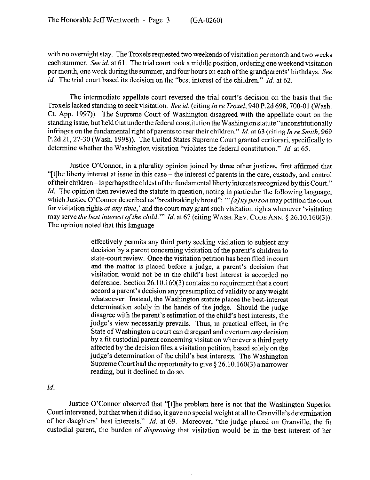with no overnight stay. The Troxels requested two weekends of visitation per month and two weeks each summer. See *id.* at 61. The trial court took a middle position, ordering one weekend visitation per month, one week during the summer, and four hours on each of the grandparents' birthdays. See *id.* The trial court based its decision on the "best interest of the children." *Id.* at 62.

The intermediate appellate court reversed the trial court's decision on the basis that the Troxels lacked standing to seek visitation. See id. (citing In re Troxel, 940 P.2d 698, 700-01 (Wash. Ct. App. 1997)). The Supreme Court of Washington disagreed with the appellate court on the standing issue, but held that under the federal constitution the Washington statute "unconstitutionally infringes on the fundamental right of parents to rear their children." *Id.* at 63 (citing *In re Smith*, 969 P.2d 21,27-30 (Wash. 1998)). The United States Supreme Court granted certiorari, specifically to determine whether the Washington visitation "violates the federal constitution." *Id.* at 65.

Justice O'Connor, in a plurality opinion joined by three other justices, first affirmed that "[t]he liberty interest at issue in this case - the interest of parents in the care, custody, and control of their children- is perhaps the oldest ofthe fundamental liberty interests recognized by this Court." *Id.* The opinion then reviewed the statute in question, noting in particular the following language, which Justice O'Connor described as "breathtakingly broad": *"'[alnyperson* may petition the court for visitation rights at any *time,'* and the court may grant such visitation rights whenever 'visitation may serve the best interest of the child." Id. at 67 (citing WASH. REV. CODE ANN. § 26.10.160(3)). The opinion noted that this language

> effectively permits any third party seeking visitation to subject any decision by a parent concerning visitation of the parent's children to state-court review. Once the visitation petition has been filed in court and the matter is placed before a judge, a parent's decision that visitation would not be in the child's best interest is accorded no deference. Section 26.10.160(3) contains no requirement that a court accord a parent's decision any presumption of validity or any weight whatsoever. Instead, the Washington statute places the best-interest determination solely in the hands of the judge. Should the judge disagree with the parent's estimation of the child's best interests, the judge's view necessarily prevails. Thus, in practical effect, in the State of Washington a court can disregard and overturn *any* decision by a tit custodial parent concerning visitation whenever a third party affected by the decision files a visitation petition, based solely on the judge's determination of the child's best interests. The Washington Supreme Court had the opportunity to give  $\S 26.10.160(3)$  a narrower reading, but it declined to do so.

### *Id.*

Justice O'Connor observed that "[tlhe problem here is not that the Washington Superior Court intervened, but that when it did so, it gave no special weight at all to Granville's determination of her daughters' best interests." *Id.* at 69. Moreover, "the judge placed on Granville, the tit custodial parent, the burden of *disproving* that visitation would be in the best interest of her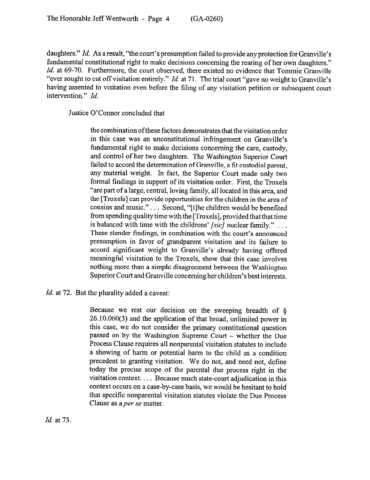daughters." *Id.* As a result, "the court's presumption failed to provide any protection for Granville's fundamental constitutional right to make decisions concerning the rearing of her own daughters." *Id.* at 69-70. Furthermore, the court observed, there existed no evidence that Tommie Granville "ever sought to cut off visitation entirely." *Id.* at 71. The trial court "gave no weight to Granville's having assented to visitation even before the filing of any visitation petition or subsequent court intervention." *Id.* 

Justice O'Connor concluded that

the combination ofthese factors demonstrates that the visitation order in this case was an unconstitutional infringement on Granville's fundamental right to make decisions concerning the care, custody, and control of her two daughters. The Washington Superior Court failed to accord the determination of Granville, a fit custodial parent, any material weight. In fact, the Superior Court made only two formal findings in support of its visitation order. First, the Troxels "are part of a large, central, loving family, all located in this area, and the [Troxels] can provide opportunities for the children in the area of cousins and music."... Second, "[t]he children would be benefited from spending quality time with the [Troxels], provided that that time is balanced with time with the childrens' *[sic]* nuclear family." . These slender findings, in combination with the court's announced presumption in favor of grandparent visitation and its failure to accord significant weight to Granville's already having offered meaningful visitation to the Troxels, show that this case involves nothing more than a simple disagreement between the Washington Superior Court and Granville concerning her children's best interests.

*Id.* at 72. But the plurality added a caveat:

Because we rest our decision on the sweeping breadth of  $\delta$ 26.10.060(3) and the application of that broad, unlimited power in this case, we do not consider the primary constitutional question passed on by the Washington Supreme Court - whether the Due Process Clause requires all nonparental visitation statutes to include a showing of harm or potential harm to the child as a condition precedent to granting visitation. We do not, and need not, define today the precise scope of the parental due process right in the visitation context.  $\ldots$  Because much state-court adjudication in this context occurs on a case-by-case basis, we would be hesitant to hold that specific nonparental visitation statutes violate the Due Process Clause as *aper* se matter.

*Id.* at 73.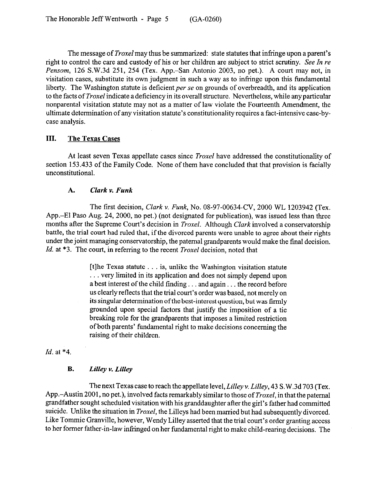The message of *Troxel* may thus be summarized: state statutes that infringe upon a parent's right to control the care and custody of his or her children are subject to strict scrutiny. See In re *Pensom,* 126 S.W.3d 251, 254 (Tex. App.-San Antonio 2003, no pet.). A court may not, in visitation cases, substitute its own judgment in such a way as to infringe upon this fundamental liberty. The Washington statute is deficient per se on grounds of overbreadth, and its application to the facts of *Troxel* indicate a deficiency in its overall structure. Nevertheless, while any particular nonparental visitation statute may not as a matter of law violate the Fourteenth Amendment, the ultimate determination of any visitation statute's constitutionality requires a fact-intensive case-bycase analysis.

### **III. The Texas Cases**

At least seven Texas appellate cases since *Troxel* have addressed the constitutionality of section 153.433 of the Family Code. None of them have concluded that that provision is facially unconstitutional.

### **A.** *Clark v. Funk*

The first decision, *Clark v. Funk*, No. 08-97-00634-CV, 2000 WL 1203942 (Tex. App.-El Paso Aug. 24, 2000, no pet.) (not designated for publication), was issued less than three months after the Supreme Court's decision in *Troxel.* Although *Clark* involved a conservatorship battle, the trial court had ruled that, if the divorced parents were unable to agree about their rights under the joint managing conservatorship, the paternal grandparents would make the final decision. *Id.* at \*3. The court, in referring to the recent *Troxel* decision, noted that

> [t]he Texas statute  $\ldots$  is, unlike the Washington visitation statute ... very limited in its application and does not simply depend upon a best interest of the child finding  $\dots$  and again  $\dots$  the record before us clearly reflects that the trial court's order was based, not merely on its singular determination of the best-interest question, but was firmly grounded upon special factors that justify the imposition of a tie breaking role for the grandparents that imposes a limited restriction of both parents' fundamental right to make decisions concerning the raising of their children.

### *Id.* at \*4.

### **B.** *Lilley v. Lilley*

The next Texas case to reach the appellate level, *Lilley v. Lilley, 43* S.W.3d 703 (Tex. App.-Austin 2001, no pet.), involved facts remarkably similar to those of *Troxel,* in that the paternal grandfather sought scheduled visitation with his granddaughter after the girl's father had committed suicide. Unlike the situation in *Troxel,* the Lilleys had been married but had subsequently divorced. Like Tommie Granville, however, Wendy Lilley asserted that the trial court's order granting access to her former father-in-law infringed on her fundamental right to make child-rearing decisions. The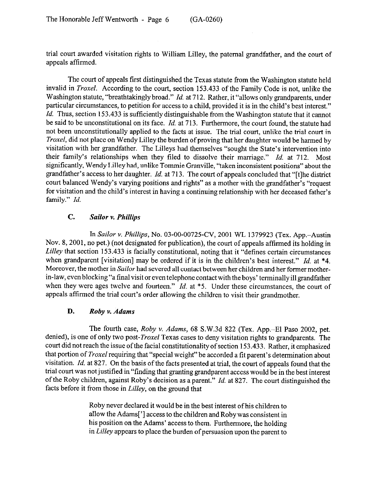trial court awarded visitation rights to William Lilley, the paternal grandfather, and the court of appeals affirmed.

The court of appeals first distinguished the Texas statute from the Washington statute held invalid in *Troxel.* According to the court, section 153.433 of the Family Code is not, unlike the Washington statute, "breathtakingly broad." *Id.* at 712. Rather, it "allows only grandparents, under particular circumstances, to petition for access to a child, provided it is in the child's best interest." *Id.* Thus, section 153.433 is sufficiently distinguishable from the Washington statute that it cannot be said to be unconstitutional on its face. *Id.* at 713. Furthermore, the court found, the statute had not been unconstitutionally applied to the facts at issue. The trial court, unlike the trial court in *Troxel,* did not place on Wendy Lilley the burden of proving that her daughter would be harmed by visitation with her grandfather. The Lilleys had themselves "sought the State's intervention into their family's relationships when they tiled to dissolve their marriage." *Id.* at 712. Most significantly, Wendy Lilley had, unlike Tommie Granville, "taken inconsistent positions" about the grandfather's access to her daughter. *Id.* at 713. The court of appeals concluded that "[tlhe district court balanced Wendy's varying positions and rights" as a mother with the grandfather's "request for visitation and the child's interest in having a continuing relationship with her deceased father's family." *Id.* 

## *C. Sailor v. Phillips*

*In Sailor v. Phillips,* No. 03-00-00725-CV, 2001 WL 1379923 (Tex. App.-Austin Nov. 8,2001, no pet.) (not designated for publication), the court of appeals affirmed its holding in *Lilley* that section 153.433 is facially constitutional, noting that it "defines certain circumstances when grandparent [visitation] may be ordered if it is in the children's best interest." *Id.* at \*4. Moreover, the mother in *Sailor* had severed all contact between her children and her former motherin-law, even blocking "a final visit or even telephone contact with the boys' terminally ill grandfather when they were ages twelve and fourteen." *Id.* at \*5. Under these circumstances, the court of appeals affirmed the trial court's order allowing the children to visit their grandmother.

### D. *Roby v. Adams*

The fourth *case, Roby v. Adams,* 68 S.W.3d 822 (Tex. App.-El Paso 2002, pet. denied), is one of only two post-*Troxel* Texas cases to deny visitation rights to grandparents. The court did not reach the issue of the facial constitutionality of section 153.433. Rather, it emphasized that portion of *Troxel* requiring that "special weight" be accorded a tit parent's determination about visitation. *Id.* at 827. On the basis of the facts presented at trial, the court of appeals found that the trial court was not justified in "finding that granting grandparent access would be in the best interest of the Roby children, against Roby's decision as a parent." *Id.* at 827. The court distinguished the facts before it from those in *Lilley,* on the ground that

> Roby never declared it would be in the best interest of his children to allow the Adams['] access to the children and Robywas consistent in his position *on* the Adams' access to them. Furthermore, the holding in *Lilky* appears to place the burden of persuasion upon the parent to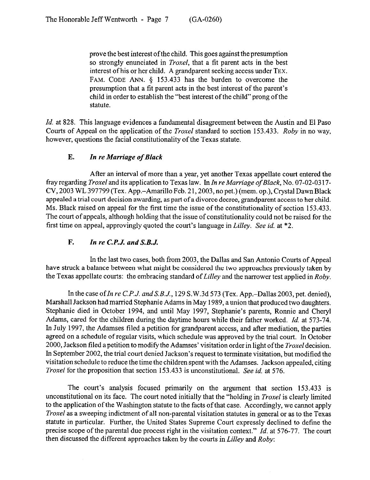prove the best interest of the child. This goes against the presumption so strongly enunciated in *Troxel,* that a tit parent acts in the best interest of his or her child. A grandparent seeking access under TEX. FAM. CODE ANN. § 153.433 has the burden to overcome the presumption that a fit parent acts in the best interest of the parent's child in order to establish the "best interest of the child" prong of the statute.

*Id.* at 828. This language evidences a fundamental disagreement between the Austin and El Paso Courts of Appeal on the application of the *Troxel* standard to section 153.433. *Roby* in no way, however, questions the facial constitutionality of the Texas statute.

## E. *In re Marriage of Black*

After an interval of more than a year, yet another Texas appellate court entered the frayregarding Troxeland its application to Texas law. *In In reMarriage ofBlack, No.* 07-02-0317- CV, 2003 WL 397799 (Tex. App.-Amarillo Feb. 21,2003, no pet.) (mem. op.), Crystal Dawn Black appealed a trial court decision awarding, as part of a divorce decree, grandparent access to her child. Ms. Black raised on appeal for the first time the issue of the constitutionality of section 153.433. The court of appeals, although holding that the issue of constitutionality could not be raised for the first time on appeal, approvingly quoted the court's language in *Lilley. See id.* at \*2.

# F. *In re C.P.J. and S.B.J.*

In the last two cases, both from 2003, the Dallas and San Antonio Courts of Appeal have struck a balance between what might be considered the two approaches previously taken by the Texas appellate courts: the embracing standard of Lilley and the narrower test applied in *Roby*.

In the case of *In re C.P.J. and S.B.J.*, 129 S.W.3d 573 (Tex. App.-Dallas 2003, pet. denied), Marshall Jackson had married Stephanie Adams in May 1989, a union that produced two daughters. Stephanie died in October 1994, and until May 1997, Stephanie's parents, Ronnie and Cheryl Adams, cared for the children during the daytime hours while their father worked. *Id.* at 573-74. In July 1997, the Adamses filed a petition for grandparent access, and after mediation, the parties agreed on a schedule of regular visits, which schedule was approved by the trial court. In October 2000, Jackson filed a petition to modify the Adamses' visitation order in light of the *Troxel* decision. In September 2002, the trial court denied Jackson's request to terminate visitation, but modified the visitation schedule to reduce the time the children spent with the Adamses. Jackson appealed, citing *Troxel* for the proposition that section 153.433 is unconstitutional. See *id.* at 576.

The court's analysis focused primarily on the argument that section 153.433 is unconstitutional on its face. The court noted initially that the "holding in *Troxel* is clearly limited to the application of the Washington statute to the facts of that case. Accordingly, we cannot apply *Troxel* as a sweeping indictment of all non-parental visitation statutes in general or as to the Texas statute in particular. Further, the United States Supreme Court expressly declined to define the precise scope of the parental due process right in the visitation context." *Id.* at 576-77. The court then discussed the different approaches taken by the courts in *Lilley* and *Roby:*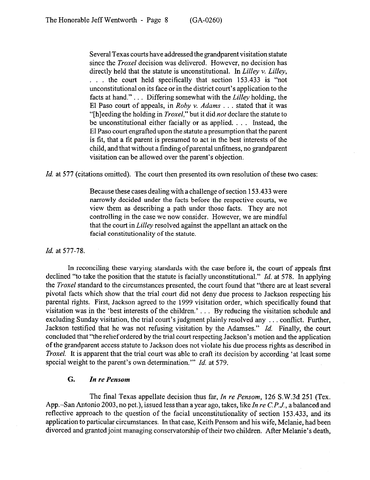Several Texas courts have addressed the grandparent visitation statute since the *Troxel* decision was delivered. However, no decision has directly held that the statute is unconstitutional. In *Lilley v. Lilley, .* the court held specifically that section 153.433 is "not unconstitutional on its face or in the district court's application to the facts at hand."... Differing somewhat with the *Lilley* holding, the El Paso court of appeals, in *Roby v. Adams* . . . stated that it was "[bleeding the holding in *Troxel,"* but it did *not* declare the statute to be unconstitutional either facially or as applied.  $\ldots$  Instead, the El Paso court engrafted upon the statute a presumption that the parent is fit, that a fit parent is presumed to act in the best interests of the child, and that without a finding of parental unfitness, no grandparent visitation can be allowed over the parent's objection.

*Id.* at 577 (citations omitted). The court then presented its own resolution of these two cases:

Because these cases dealing with a challenge of section 153.433 were narrowly decided under the facts before the respective courts, we view them as describing a path under those facts. They are not controlling in the case we now consider. However, we are mindful that the court in *Liliey* resolved against the appellant an attack on the facial constitutionality of the statute.

*Id.* at 577-78.

In reconciling these varying standards with the case before it, the court of appeals first declined "to take the position that the statute is facially unconstitutional." *Id.* at 578. In applying the *Troxel* standard to the circumstances presented, the court found that "there are at least several pivotal facts which show that the trial court did not deny due process to Jackson respecting his parental rights. First, Jackson agreed to the 1999 visitation order, which specifically found that visitation was in the 'best interests of the children.'  $\ldots$  By reducing the visitation schedule and excluding Sunday visitation, the trial court's judgment plainly resolved any  $\dots$  conflict. Further, Jackson testified that he was not refusing visitation by the Adamses." *Id.* Finally, the court concluded that "the relief ordered by the trial court respecting Jackson's motion and the application of the grandparent access statute to Jackson does not violate his due process rights as described in *Troxel.* It is apparent that the trial court was able to craft its decision by according 'at least some special weight to the parent's own determination."' *Id.* at 579.

#### *G. In re Pensom*

The final Texas appellate decision thus far, *In re Pensom,* 126 S.W.3d 251 (Tex. App.-San Antonio 2003, no pet.), issued less than a year ago, takes, like *In re* C. *P.J.,* a balanced and reflective approach to the question of the facial unconstitutionality of section 153.433, and its application to particular circumstances. In that case, Keith Pensom and his wife, Melanie, had been divorced and granted joint managing conservatorship of their two children. After Melanie's death,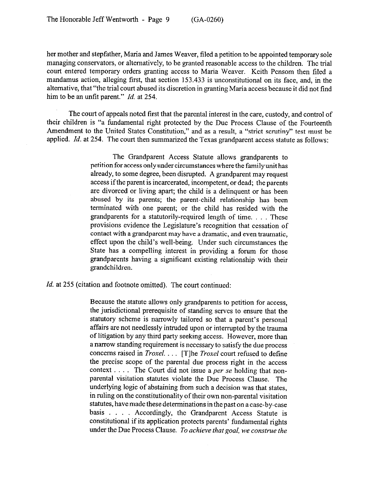her mother and stepfather, Maria and James Weaver, tiled a petition to be appointed temporary sole managing conservators, or alternatively, to be granted reasonable access to the children. The trial court entered temporary orders granting access to Maria Weaver. Keith Pensom then tiled a mandamus action, alleging first, that section 153.433 is unconstitutional on its face, and, in the alternative, that "the trial court abused its discretion in granting Maria access because it did not find him to be an unfit parent." *Id.* at 254.

The court of appeals noted first that the parental interest in the care, custody, and control of their children is "a fundamental right protected by the Due Process Clause of the Fourteenth Amendment to the United States Constitution," and as a result, a "strict scrutiny" test must be applied. *Id.* at 254. The court then summarized the Texas grandparent access statute as follows:

> The Grandparent Access Statute allows grandparents to petition for access only under circumstances where the family unit has already, to some degree, been disrupted. A grandparent may request access ifthe parent is incarcerated, incompetent, or dead; the parents are divorced or living apart; the child is a delinquent or has been abused by its parents; the parent-child relationship has been terminated with one parent; or the child has resided with the grandparents for a statutorily-required length of time. . . . These provisions evidence the Legislature's recognition that cessation of contact with a grandparent may have a dramatic, and even traumatic, effect upon the child's well-being. Under such circumstances the State has a compelling interest in providing a forum for those grandparents having a significant existing relationship with their grandchildren.

*Id.* at 255 (citation and footnote omitted). The court continued:

Because the statute allows only grandparents to petition for access, the jurisdictional prerequisite of standing serves to ensure that the statutory scheme is narrowly tailored so that a parent's personal affairs are not needlessly intruded upon or interrupted by the trauma of litigation by any third party seeking access. However, more than a narrow standing requirement is necessary to satisfy the due process concerns raised in *Troxel.* . . . [T]he *Troxel* court refused to define the precise scope of the parental due process right in the access context  $\ldots$ . The Court did not issue a *per se* holding that nonparental visitation statutes violate the Due Process Clause. The underlying logic of abstaining from such a decision was that states, in ruling on the constitutionality of their own non-parental visitation statutes, have made these determinations in the past on a case-by-case basis . . . . Accordingly, the Grandparent Access Statute is constitutional if its application protects parents' fundamental rights under the Due Process Clause. *To achieve that goal, we construe the*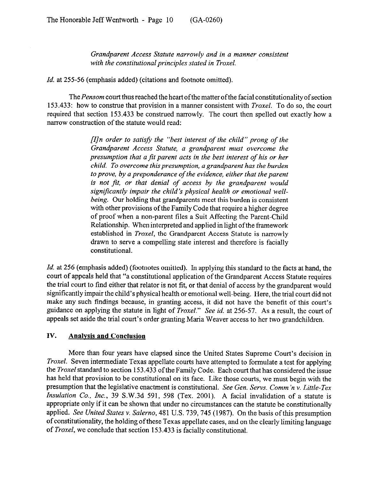*Grandparent Access Statute narrowly and in a manner consistent with the constitutional principles stated in Troxel.* 

*Id.* at 255-56 (emphasis added) (citations and footnote omitted).

The *Pensom* court thus reached the heart of the matter of the facial constitutionality of section 153.433: how to construe that provision in a manner consistent with *Troxel.* To do so, the court required that section 153.433 be construed narrowly. The court then spelled out exactly how a narrow construction of the statute would read:

> *[ZJn order to satisjj the "best interest of the child" prong of the Grandparent Access Statute, a grandparent must overcome the presumption that a fit parent acts in the best interest of his or her child. To overcome this presumption, a grandparent has the burden to prove, by a preponderance of the evidence, either that the parent is not ftt, or that denial of access by the grandparent would significantly impair the child's physical health or emotional wellbeing.* Our holding that grandparents meet this burden is consistent with other provisions of the Family Code that require a higher degree of proof when a non-parent tiles a Suit Affecting the Parent-Child Relationship. When interpreted and applied in light of the framework established in *Troxel,* the Grandparent Access Statute is narrowly drawn to serve a compelling state interest and therefore is facially constitutional.

*Id.* at 256 (emphasis added) (footnotes omitted). In applying this standard to the facts at hand, the court of appeals held that "a constitutional application of the Grandparent Access Statute requires the trial court to find either that relator is not fit, or that denial of access by the grandparent would significantly impair the child's physical health or emotional well-being. Here, the trial court did not make any such findings because, in granting access, it did not have the benefit of this court's guidance on applying the statute in light of *Troxel."* See *id.* at 256-57. As a result, the court of appeals set aside the trial court's order granting Maria Weaver access to her two grandchildren.

### **IV. Analvsis and Conclusion**

More than four years have elapsed since the United States Supreme Court's decision in *Troxel.* Seven intermediate Texas appellate courts have attempted to formulate a test for applying the *Troxel* standard to section 153.433 of the Family Code. Each court that has considered the issue has held that provision to be constitutional on its face. Like those courts, we must begin with the presumption that the legislative enactment is constitutional. *See Gen. Servs. Comm 'n Y. Little-Tex Insulation* Co., *Inc.,* 39 S.W.3d 591, 598 (Tex. 2001). A facial invalidation of a statute is appropriate only if it can be shown that under no circumstances can the statute be constitutionally applied. *See United States v. Salerno,* 481 U.S. 739,745 (1987). On the basis ofthis presumption ofconstitutionality, the holding of these Texas appellate cases, and on the clearly limiting language of *Troxel,* we conclude that section 153.433 is facially constitutional.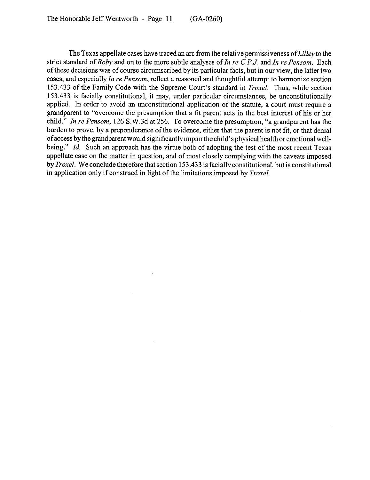The Texas appellate cases have traced an arc from the relative permissiveness *ofLilley* to the strict standard of *Roby* and on to the more subtle analyses of *In re C.P.J.* and In *re Pensom.* Each of these decisions was of course circumscribed by its particular facts, but in our view, the latter two cases, and especially *In re Pensom,* reflect a reasoned and thoughtful attempt to harmonize section 153.433 of the Family Code with the Supreme Court's standard in *Troxel.* Thus, while section 153.433 is facially constitutional, it may, under particular circumstances, be unconstitutionally applied. In order to avoid an unconstitutional application of the statute, a court must require a grandparent to "overcome the presumption that a fit parent acts in the best interest of his or her child." *In re Pensom,* 126 S.W.3d at 256. To overcome the presumption, "a grandparent has the burden to prove, by a preponderance of the evidence, either that the parent is not fit, or that denial of access by the grandparent would significantly impair the child's physical health or emotional wellbeing." *Id.* Such an approach has the virtue both of adopting the test of the most recent Texas appellate case on the matter in question, and of most closely complying with the caveats imposed by *Troxel*. We conclude therefore that section 153.433 is facially constitutional, but is constitutional in application only if construed in light of the limitations imposed by *Troxel.*